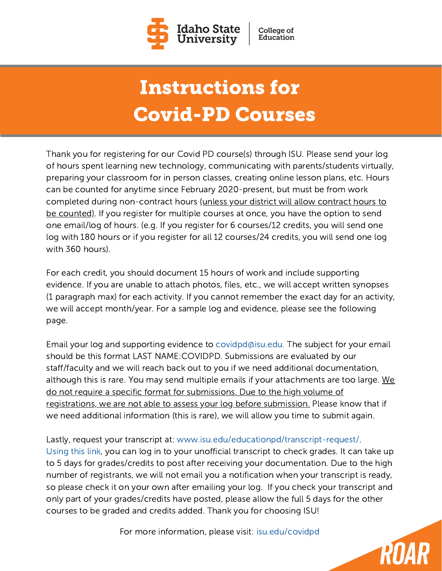

## Instructions for Covid-PD Courses

Thank you for registering for our Covid PD course(s) through ISU. Please send your log of hours spent learning new technology, communicating with parents/students virtually, preparing your classroom for in person classes, creating online lesson plans, etc. Hours can be counted for anytime since February 2020-present, but must be from work completed during non-contract hours (unless your district will allow contract hours to be counted). If you register for multiple courses at once, you have the option to send one email/log of hours. (e.g. If you register for 6 courses/12 credits, you will send one log with 180 hours or if you register for all 12 courses/24 credits, you will send one log with 360 hours).

For each credit, you should document 15 hours of work and include supporting evidence. If you are unable to attach photos, files, etc., we will accept written synopses (1 paragraph max) for each activity. If you cannot remember the exact day for an activity, we will accept month/year. For a sample log and evidence, please see the following page.

Email your log and supporting evidence to [covidpd@isu.edu](mailto:covidpd@isu.edu). The subject for your email should be this format LAST NAME:COVIDPD. Submissions are evaluated by our staff/faculty and we will reach back out to you if we need additional documentation, although this is rare. You may send multiple emails if your attachments are too large. We do not require a specific format for submissions. Due to the high volume of registrations, we are not able to assess your log before submission. Please know that if we need additional information (this is rare), we will allow you time to submit again.

Lastly, request your transcript at: [www.isu.edu/educationpd/transcript-request/.](https://isu.edu/educationpd/transcript-request/) [Using](https://isu.edu/educationpd/transcript-request/) this link, you can log in to your unofficial transcript to check grades. It can take up to 5 days for grades/credits to post after receiving your documentation. Due to the high number of registrants, we will not email you a notification when your transcript is ready, so please check it on your own after emailing your log. If you check your transcript and only part of your grades/credits have posted, please allow the full 5 days for the other courses to be graded and credits added. Thank you for choosing ISU!

For more information, please visit: [isu.edu/covidpd](https://isu.edu/educationpd/preparing-to-teach-during-covid-19/)